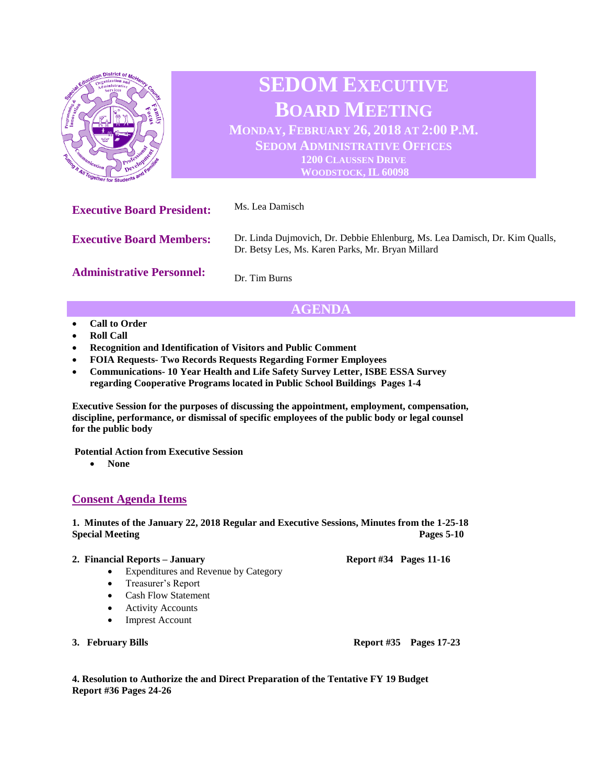

# **AGENDA**

- **Call to Order**
- **Roll Call**
- **Recognition and Identification of Visitors and Public Comment**
- **FOIA Requests- Two Records Requests Regarding Former Employees**
- **Communications- 10 Year Health and Life Safety Survey Letter, ISBE ESSA Survey regarding Cooperative Programs located in Public School Buildings Pages 1-4**

**Executive Session for the purposes of discussing the appointment, employment, compensation, discipline, performance, or dismissal of specific employees of the public body or legal counsel for the public body**

**Potential Action from Executive Session** 

• **None**

## **Consent Agenda Items**

**1. Minutes of the January 22, 2018 Regular and Executive Sessions, Minutes from the 1-25-18 Special Meeting Pages** 5-10

#### **2. Financial Reports – January Report #34 Pages 11-16**

- Expenditures and Revenue by Category
- Treasurer's Report
- Cash Flow Statement
- Activity Accounts
- Imprest Account
- 

**3. February Bills Report #35 Pages 17-23**

**4. Resolution to Authorize the and Direct Preparation of the Tentative FY 19 Budget Report #36 Pages 24-26**